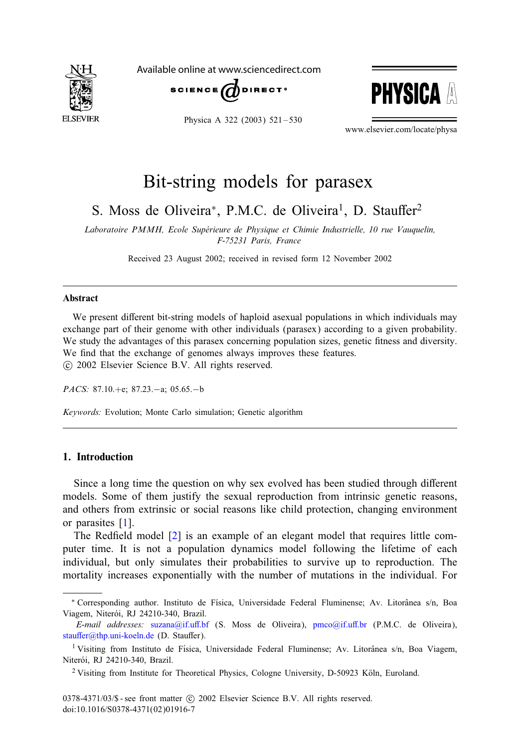

Available online at www.sciencedirect.com





Physica A 322 (2003) 521-530

www.elsevier.com/locate/physa

## Bit-string models for parasex

S. Moss de Oliveira<sup>\*</sup>, P.M.C. de Oliveira<sup>1</sup>, D. Stauffer<sup>2</sup>

*Laboratoire PMMH, Ecole Superieure de Physique et Chimie Industrielle, 10 rue Vauquelin, F-75231 Paris, France*

Received 23 August 2002; received in revised form 12 November 2002

#### Abstract

We present different bit-string models of haploid asexual populations in which individuals may exchange part of their genome with other individuals (parasex) according to a given probability. We study the advantages of this parasex concerning population sizes, genetic fitness and diversity. We find that the exchange of genomes always improves these features. -c 2002 Elsevier Science B.V. All rights reserved.

*PACS:* 87.10.+e; 87.23.−a; 05.65.−b

*Keywords:* Evolution; Monte Carlo simulation; Genetic algorithm

### 1. Introduction

Since a long time the question on why sex evolved has been studied through different models. Some of them justify the sexual reproduction from intrinsic genetic reasons, and others from extrinsic or social reasons like child protection, changing environment or parasites [\[1\]](#page--1-0).

The Redfield model  $[2]$  is an example of an elegant model that requires little computer time. It is not a population dynamics model following the lifetime of each individual, but only simulates their probabilities to survive up to reproduction. The mortality increases exponentially with the number of mutations in the individual. For

<sup>\*</sup> Corresponding author. Instituto de Física, Universidade Federal Fluminense; Av. Litorânea s/n, Boa Viagem, Niterói, RJ 24210-340, Brazil.

E-mail addresses: suzana@if.uff.bf (S. Moss de Oliveira), pmco@if.uff.br (P.M.C. de Oliveira), stauffer@thp.uni-koeln.de (D. Stauffer).

<sup>&</sup>lt;sup>1</sup> Visiting from Instituto de Física, Universidade Federal Fluminense; Av. Litorânea s/n, Boa Viagem, Niterói, RJ 24210-340, Brazil.

 $2$  Visiting from Institute for Theoretical Physics, Cologne University, D-50923 Köln, Euroland.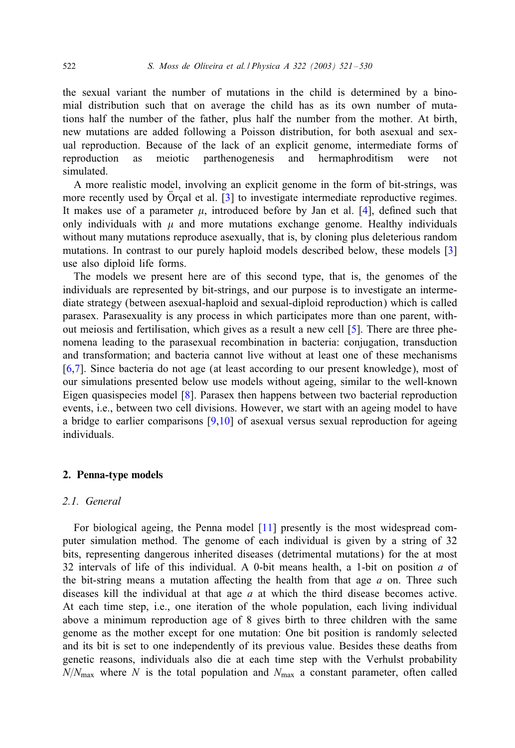the sexual variant the number of mutations in the child is determined by a binomial distribution such that on average the child has as its own number of mutations half the number of the father, plus half the number from the mother. At birth, new mutations are added following a Poisson distribution, for both asexual and sexual reproduction. Because of the lack of an explicit genome, intermediate forms of reproduction as meiotic parthenogenesis and hermaphroditism were not simulated.

A more realistic model, involving an explicit genome in the form of bit-strings, was more recently used by  $\hat{O}$  cal et al. [\[3\]](#page--1-0) to investigate intermediate reproductive regimes. It makes use of a parameter  $\mu$ , introduced before by Jan et al. [\[4\]](#page--1-0), defined such that only individuals with  $\mu$  and more mutations exchange genome. Healthy individuals without many mutations reproduce asexually, that is, by cloning plus deleterious random mutations. In contrast to our purely haploid models described below, these models [\[3\]](#page--1-0) use also diploid life forms.

The models we present here are of this second type, that is, the genomes of the individuals are represented by bit-strings, and our purpose is to investigate an intermediate strategy (between asexual-haploid and sexual-diploid reproduction) which is called parasex. Parasexuality is any process in which participates more than one parent, without meiosis and fertilisation, which gives as a result a new cell  $[5]$ . There are three phenomena leading to the parasexual recombination in bacteria: conjugation, transduction and transformation; and bacteria cannot live without at least one of these mechanisms [\[6,7\]](#page--1-0). Since bacteria do not age (at least according to our present knowledge), most of our simulations presented below use models without ageing, similar to the well-known Eigen quasispecies model [\[8\]](#page--1-0). Parasex then happens between two bacterial reproduction events, i.e., between two cell divisions. However, we start with an ageing model to have a bridge to earlier comparisons  $[9,10]$  of asexual versus sexual reproduction for ageing individuals.

#### 2. Penna-type models

#### *2.1. General*

For biological ageing, the Penna model [\[11\]](#page--1-0) presently is the most widespread computer simulation method. The genome of each individual is given by a string of 32 bits, representing dangerous inherited diseases (detrimental mutations) for the at most 32 intervals of life of this individual. A 0-bit means health, a 1-bit on position  $a$  of the bit-string means a mutation affecting the health from that age  $a$  on. Three such diseases kill the individual at that age  $a$  at which the third disease becomes active. At each time step, i.e., one iteration of the whole population, each living individual above a minimum reproduction age of 8 gives birth to three children with the same genome as the mother except for one mutation: One bit position is randomly selected and its bit is set to one independently of its previous value. Besides these deaths from genetic reasons, individuals also die at each time step with the Verhulst probability  $N/N_{\text{max}}$  where N is the total population and  $N_{\text{max}}$  a constant parameter, often called